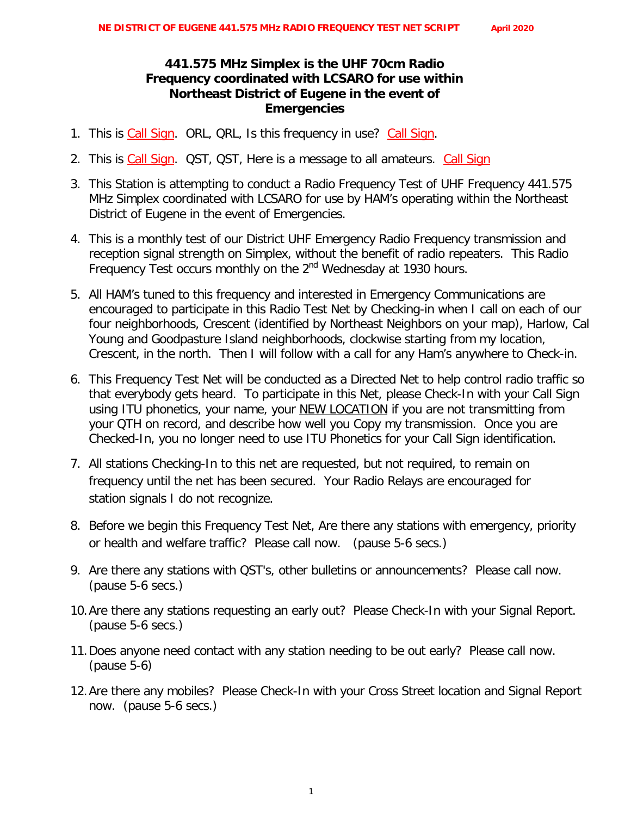## **441.575 MHz Simplex is the UHF 70cm Radio Frequency coordinated with LCSARO for use within Northeast District of Eugene in the event of Emergencies**

- 1. This is *Call Sign*. ORL, QRL, Is this frequency in use? *Call Sign*.
- 2. This is *Call Sign*. QST, QST, Here is a message to all amateurs. *Call Sign*
- 3. This Station is attempting to conduct a Radio Frequency Test of UHF Frequency 441.575 MHz Simplex coordinated with LCSARO for use by HAM's operating within the Northeast District of Eugene in the event of Emergencies.
- 4. This is a monthly test of our District UHF Emergency Radio Frequency transmission and reception signal strength on Simplex, without the benefit of radio repeaters. This Radio Frequency Test occurs monthly on the 2<sup>nd</sup> Wednesday at 1930 hours.
- 5. All HAM's tuned to this frequency and interested in Emergency Communications are encouraged to participate in this Radio Test Net by Checking-in when I call on each of our four neighborhoods, Crescent (identified by Northeast Neighbors on your map), Harlow, Cal Young and Goodpasture Island neighborhoods, clockwise starting from my location, Crescent, in the north. Then I will follow with a call for any Ham's anywhere to Check-in.
- 6. This Frequency Test Net will be conducted as a Directed Net to help control radio traffic so that everybody gets heard. To participate in this Net, please Check-In with your Call Sign using ITU phonetics, your name, your NEW LOCATION if you are not transmitting from your QTH on record, and describe how well you Copy my transmission. Once you are Checked-In, you no longer need to use ITU Phonetics for your Call Sign identification.
- 7. All stations Checking-In to this net are requested, but not required, to remain on frequency until the net has been secured. Your Radio Relays are encouraged for station signals I do not recognize.
- 8. Before we begin this Frequency Test Net, Are there any stations with emergency, priority or health and welfare traffic? Please call now. *(pause 5-6 secs.)*
- 9. Are there any stations with QST's, other bulletins or announcements? Please call now. *(pause 5-6 secs.)*
- *10.*Are there any stations requesting an early out? Please Check-In with your Signal Report. *(pause 5-6 secs.)*
- 11.Does anyone need contact with any station needing to be out early? Please call now. *(pause 5-6)*
- *12.*Are there any mobiles? Please Check-In with your Cross Street location and Signal Report now. *(pause 5-6 secs.)*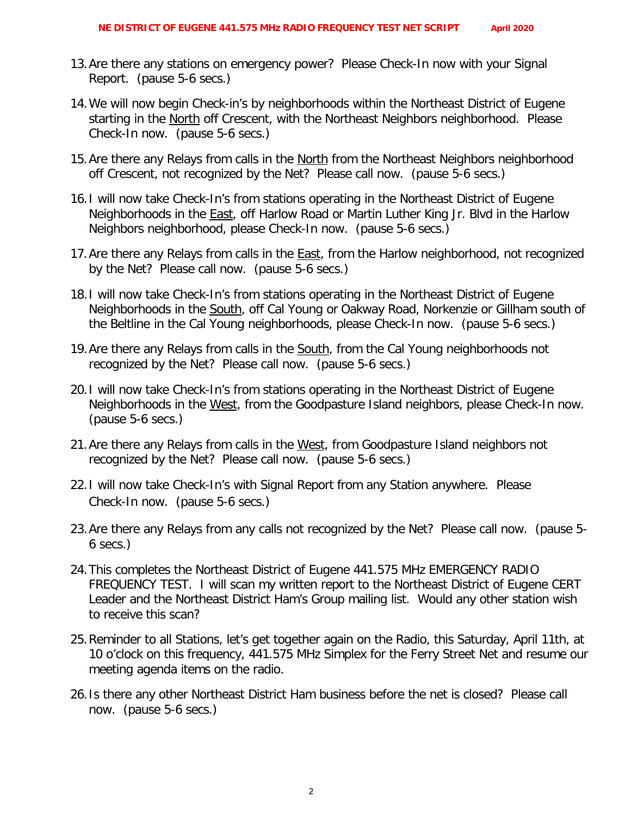- 13.Are there any stations on emergency power? Please Check-In now with your Signal Report. *(pause 5-6 secs.)*
- 14.We will now begin Check-in's by neighborhoods within the Northeast District of Eugene starting in the North off Crescent, with the Northeast Neighbors neighborhood. Please Check-In now. *(pause 5-6 secs.)*
- 15.Are there any Relays from calls in the North from the Northeast Neighbors neighborhood off Crescent, not recognized by the Net? Please call now. *(pause 5-6 secs.)*
- 16.I will now take Check-In's from stations operating in the Northeast District of Eugene Neighborhoods in the **East**, off Harlow Road or Martin Luther King Jr. Blvd in the Harlow Neighbors neighborhood, please Check-In now. (pause 5-6 secs.)
- 17. Are there any Relays from calls in the **East**, from the Harlow neighborhood, not recognized by the Net? Please call now. *(pause 5-6 secs.)*
- 18.I will now take Check-In's from stations operating in the Northeast District of Eugene Neighborhoods in the South, off Cal Young or Oakway Road, Norkenzie or Gillham south of the Beltline in the Cal Young neighborhoods, please Check-In now. (pause 5-6 secs.)
- 19.Are there any Relays from calls in the South, from the Cal Young neighborhoods not recognized by the Net? Please call now. *(pause 5-6 secs.)*
- 20.I will now take Check-In's from stations operating in the Northeast District of Eugene Neighborhoods in the West, from the Goodpasture Island neighbors, please Check-In now. (pause 5-6 secs.)
- 21.Are there any Relays from calls in the West, from Goodpasture Island neighbors not recognized by the Net? Please call now. *(pause 5-6 secs.)*
- 22.I will now take Check-In's with Signal Report from any Station anywhere. Please Check-In now. (pause 5-6 secs.)
- 23.Are there any Relays from any calls not recognized by the Net? Please call now. *(pause 5- 6 secs.)*
- 24.This completes the Northeast District of Eugene 441.575 MHz EMERGENCY RADIO FREQUENCY TEST. I will scan my written report to the Northeast District of Eugene CERT Leader and the Northeast District Ham's Group mailing list. Would any other station wish to receive this scan?
- 25.Reminder to all Stations, let's get together again on the Radio, this Saturday, April 11th, at 10 o'clock on this frequency, 441.575 MHz Simplex for the Ferry Street Net and resume our meeting agenda items on the radio.
- *26.*Is there any other Northeast District Ham business before the net is closed? Please call now. *(pause 5-6 secs.)*